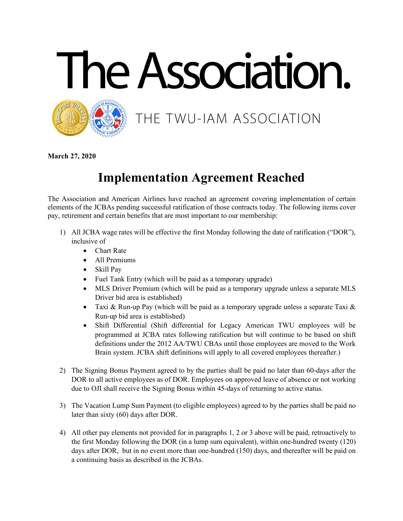



THE TWU-IAM ASSOCIATION

**March 27, 2020**

## **Implementation Agreement Reached**

The Association and American Airlines have reached an agreement covering implementation of certain elements of the JCBAs pending successful ratification of those contracts today. The following items cover pay, retirement and certain benefits that are most important to our membership:

- 1) All JCBA wage rates will be effective the first Monday following the date of ratification ("DOR"), inclusive of
	- Chart Rate
	- All Premiums
	- Skill Pay
	- Fuel Tank Entry (which will be paid as a temporary upgrade)
	- MLS Driver Premium (which will be paid as a temporary upgrade unless a separate MLS Driver bid area is established)
	- Taxi & Run-up Pay (which will be paid as a temporary upgrade unless a separate Taxi  $\&$ Run-up bid area is established)
	- Shift Differential (Shift differential for Legacy American TWU employees will be programmed at JCBA rates following ratification but will continue to be based on shift definitions under the 2012 AA/TWU CBAs until those employees are moved to the Work Brain system. JCBA shift definitions will apply to all covered employees thereafter.)
- 2) The Signing Bonus Payment agreed to by the parties shall be paid no later than 60-days after the DOR to all active employees as of DOR. Employees on approved leave of absence or not working due to OJI shall receive the Signing Bonus within 45-days of returning to active status.
- 3) The Vacation Lump Sum Payment (to eligible employees) agreed to by the parties shall be paid no later than sixty (60) days after DOR.
- 4) All other pay elements not provided for in paragraphs 1, 2 or 3 above will be paid, retroactively to the first Monday following the DOR (in a lump sum equivalent), within one-hundred twenty (120) days after DOR, but in no event more than one-hundred (150) days, and thereafter will be paid on a continuing basis as described in the JCBAs.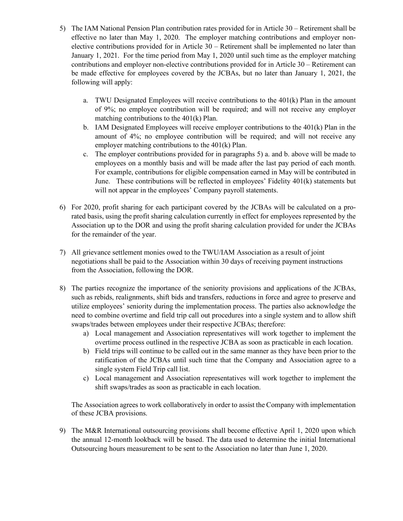- 5) The IAM National Pension Plan contribution rates provided for in Article 30 Retirement shall be effective no later than May 1, 2020. The employer matching contributions and employer nonelective contributions provided for in Article 30 – Retirement shall be implemented no later than January 1, 2021. For the time period from May 1, 2020 until such time as the employer matching contributions and employer non-elective contributions provided for in Article 30 – Retirement can be made effective for employees covered by the JCBAs, but no later than January 1, 2021, the following will apply:
	- a. TWU Designated Employees will receive contributions to the  $401(k)$  Plan in the amount of 9%; no employee contribution will be required; and will not receive any employer matching contributions to the 401(k) Plan.
	- b. IAM Designated Employees will receive employer contributions to the 401(k) Plan in the amount of 4%; no employee contribution will be required; and will not receive any employer matching contributions to the 401(k) Plan.
	- c. The employer contributions provided for in paragraphs 5) a. and b. above will be made to employees on a monthly basis and will be made after the last pay period of each month. For example, contributions for eligible compensation earned in May will be contributed in June. These contributions will be reflected in employees' Fidelity 401(k) statements but will not appear in the employees' Company payroll statements.
- 6) For 2020, profit sharing for each participant covered by the JCBAs will be calculated on a prorated basis, using the profit sharing calculation currently in effect for employees represented by the Association up to the DOR and using the profit sharing calculation provided for under the JCBAs for the remainder of the year.
- 7) All grievance settlement monies owed to the TWU/IAM Association as a result of joint negotiations shall be paid to the Association within 30 days of receiving payment instructions from the Association, following the DOR.
- 8) The parties recognize the importance of the seniority provisions and applications of the JCBAs, such as rebids, realignments, shift bids and transfers, reductions in force and agree to preserve and utilize employees' seniority during the implementation process. The parties also acknowledge the need to combine overtime and field trip call out procedures into a single system and to allow shift swaps/trades between employees under their respective JCBAs; therefore:
	- a) Local management and Association representatives will work together to implement the overtime process outlined in the respective JCBA as soon as practicable in each location.
	- b) Field trips will continue to be called out in the same manner as they have been prior to the ratification of the JCBAs until such time that the Company and Association agree to a single system Field Trip call list.
	- c) Local management and Association representatives will work together to implement the shift swaps/trades as soon as practicable in each location.

The Association agrees to work collaboratively in order to assist the Company with implementation of these JCBA provisions.

9) The M&R International outsourcing provisions shall become effective April 1, 2020 upon which the annual 12-month lookback will be based. The data used to determine the initial International Outsourcing hours measurement to be sent to the Association no later than June 1, 2020.